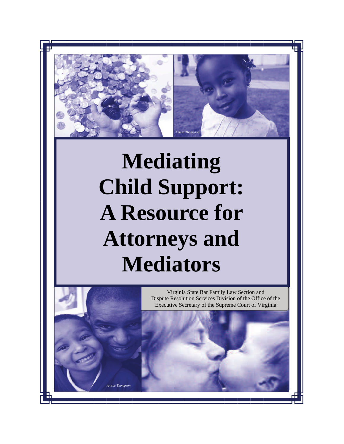

# **Mediating Child Support: A Resource for Attorneys and Mediators**

1



Virginia State Bar Family Law Section and Dispute Resolution Services Division of the Office of the Executive Secretary of the Supreme Court of Virginia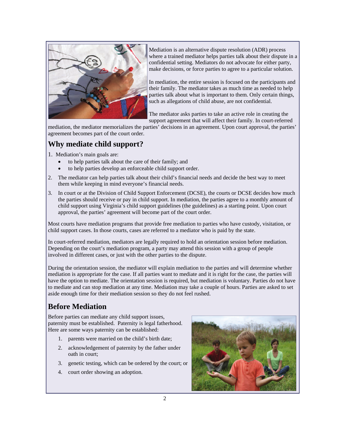

Mediation is an alternative dispute resolution (ADR) process where a trained mediator helps parties talk about their dispute in a confidential setting. Mediators do not advocate for either party, make decisions, or force parties to agree to a particular solution.

In mediation, the entire session is focused on the participants and their family. The mediator takes as much time as needed to help parties talk about what is important to them. Only certain things, such as allegations of child abuse, are not confidential.

The mediator asks parties to take an active role in creating the support agreement that will affect their family. In court-referred

mediation, the mediator memorializes the parties' decisions in an agreement. Upon court approval, the parties' agreement becomes part of the court order.

# **Why mediate child support?**

- 1. Mediation's main goals are:
	- to help parties talk about the care of their family; and
	- to help parties develop an enforceable child support order.
- 2. The mediator can help parties talk about their child's financial needs and decide the best way to meet them while keeping in mind everyone's financial needs.
- 3. In court or at the Division of Child Support Enforcement (DCSE), the courts or DCSE decides how much the parties should receive or pay in child support. In mediation, the parties agree to a monthly amount of child support using Virginia's child support guidelines (the guidelines) as a starting point. Upon court approval, the parties' agreement will become part of the court order.

Most courts have mediation programs that provide free mediation to parties who have custody, visitation, or child support cases. In those courts, cases are referred to a mediator who is paid by the state.

In court-referred mediation, mediators are legally required to hold an orientation session before mediation. Depending on the court's mediation program, a party may attend this session with a group of people involved in different cases, or just with the other parties to the dispute.

During the orientation session, the mediator will explain mediation to the parties and will determine whether mediation is appropriate for the case. If all parties want to mediate and it is right for the case, the parties will have the option to mediate. The orientation session is required, but mediation is voluntary. Parties do not have to mediate and can stop mediation at any time. Mediation may take a couple of hours. Parties are asked to set aside enough time for their mediation session so they do not feel rushed.

# **Before Mediation**

Before parties can mediate any child support issues, paternity must be established. Paternity is legal fatherhood. Here are some ways paternity can be established:

- 1. parents were married on the child's birth date;
- 2. acknowledgement of paternity by the father under oath in court;
- 3. genetic testing, which can be ordered by the court; or
- 4. court order showing an adoption.

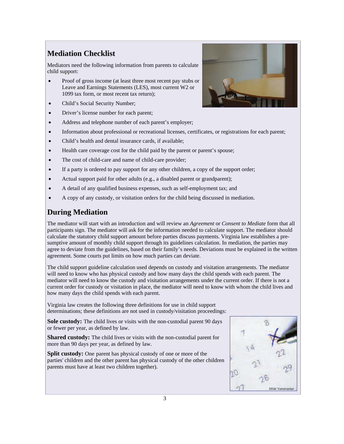# **Mediation Checklist**

Mediators need the following information from parents to calculate child support:

- Proof of gross income (at least three most recent pay stubs or Leave and Earnings Statements (LES), most current W2 or 1099 tax form, or most recent tax return);
- Child's Social Security Number;
- Driver's license number for each parent;
- Address and telephone number of each parent's employer;
- Information about professional or recreational licenses, certificates, or registrations for each parent;
- Child's health and dental insurance cards, if available;
- Health care coverage cost for the child paid by the parent or parent's spouse;
- The cost of child-care and name of child-care provider;
- If a party is ordered to pay support for any other children, a copy of the support order;
- Actual support paid for other adults (e.g., a disabled parent or grandparent);
- A detail of any qualified business expenses, such as self-employment tax; and
- A copy of any custody, or visitation orders for the child being discussed in mediation.

# **During Mediation**

The mediator will start with an introduction and will review an *Agreement* or *Consent to Mediate* form that all participants sign. The mediator will ask for the information needed to calculate support. The mediator should calculate the statutory child support amount before parties discuss payments. Virginia law establishes a presumptive amount of monthly child support through its guidelines calculation. In mediation, the parties may agree to deviate from the guidelines, based on their family's needs. Deviations must be explained in the written agreement. Some courts put limits on how much parties can deviate.

The child support guideline calculation used depends on custody and visitation arrangements. The mediator will need to know who has physical custody and how many days the child spends with each parent. The mediator will need to know the custody and visitation arrangements under the current order. If there is not a current order for custody or visitation in place, the mediator will need to know with whom the child lives and how many days the child spends with each parent.

Virginia law creates the following three definitions for use in child support determinations; these definitions are not used in custody/visitation proceedings:

**Sole custody:** The child lives or visits with the non-custodial parent 90 days or fewer per year, as defined by law.

**Shared custody:** The child lives or visits with the non-custodial parent for more than 90 days per year, as defined by law.

**Split custody:** One parent has physical custody of one or more of the parties' children and the other parent has physical custody of the other children parents must have at least two children together).



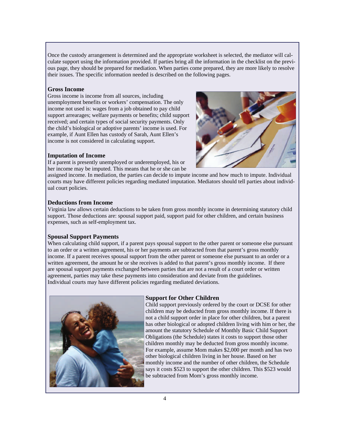Once the custody arrangement is determined and the appropriate worksheet is selected, the mediator will calculate support using the information provided. If parties bring all the information in the checklist on the previous page, they should be prepared for mediation. When parties come prepared, they are more likely to resolve their issues. The specific information needed is described on the following pages.

#### **Gross Income**

Gross income is income from all sources, including unemployment benefits or workers' compensation. The only income not used is: wages from a job obtained to pay child support arrearages; welfare payments or benefits; child support received; and certain types of social security payments. Only the child's biological or adoptive parents' income is used. For example, if Aunt Ellen has custody of Sarah, Aunt Ellen's income is not considered in calculating support.

## **Imputation of Income**

If a parent is presently unemployed or underemployed, his or her income may be imputed. This means that he or she can be



#### **Deductions from Income**

Virginia law allows certain deductions to be taken from gross monthly income in determining statutory child support. Those deductions are: spousal support paid, support paid for other children, and certain business expenses, such as self-employment tax.

#### **Spousal Support Payments**

When calculating child support, if a parent pays spousal support to the other parent or someone else pursuant to an order or a written agreement, his or her payments are subtracted from that parent's gross monthly income. If a parent receives spousal support from the other parent or someone else pursuant to an order or a written agreement, the amount he or she receives is added to that parent's gross monthly income. If there are spousal support payments exchanged between parties that are not a result of a court order or written agreement, parties may take these payments into consideration and deviate from the guidelines. Individual courts may have different policies regarding mediated deviations.



#### **Support for Other Children**

Child support previously ordered by the court or DCSE for other children may be deducted from gross monthly income. If there is not a child support order in place for other children, but a parent has other biological or adopted children living with him or her, the amount the statutory Schedule of Monthly Basic Child Support Obligations (the Schedule) states it costs to support those other children monthly may be deducted from gross monthly income. For example, assume Mom makes \$2,000 per month and has two other biological children living in her house. Based on her monthly income and the number of other children, the Schedule says it costs \$523 to support the other children. This \$523 would be subtracted from Mom's gross monthly income.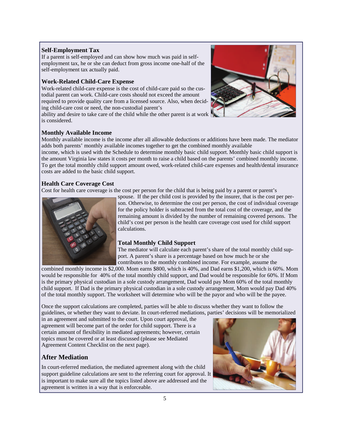#### **Self-Employment Tax**

If a parent is self-employed and can show how much was paid in selfemployment tax, he or she can deduct from gross income one-half of the self-employment tax actually paid.

### **Work-Related Child-Care Expense**

Work-related child-care expense is the cost of child-care paid so the custodial parent can work. Child-care costs should not exceed the amount required to provide quality care from a licensed source. Also, when deciding child-care cost or need, the non-custodial parent's

ability and desire to take care of the child while the other parent is at work is considered.



#### **Monthly Available Income**

Monthly available income is the income after all allowable deductions or additions have been made. The mediator adds both parents' monthly available incomes together to get the combined monthly available

income, which is used with the Schedule to determine monthly basic child support. Monthly basic child support is the amount Virginia law states it costs per month to raise a child based on the parents' combined monthly income. To get the total monthly child support amount owed, work-related child-care expenses and health/dental insurance costs are added to the basic child support.

## **Health Care Coverage Cost**

Cost for health care coverage is the cost per person for the child that is being paid by a parent or parent's



spouse. If the per child cost is provided by the insurer, that is the cost per person. Otherwise, to determine the cost per person, the cost of individual coverage for the policy holder is subtracted from the total cost of the coverage, and the remaining amount is divided by the number of remaining covered persons. The child's cost per person is the health care coverage cost used for child support calculations.

## **Total Monthly Child Support**

The mediator will calculate each parent's share of the total monthly child support. A parent's share is a percentage based on how much he or she contributes to the monthly combined income. For example, assume the

combined monthly income is \$2,000. Mom earns \$800, which is 40%, and Dad earns \$1,200, which is 60%. Mom would be responsible for 40% of the total monthly child support, and Dad would be responsible for 60%. If Mom is the primary physical custodian in a sole custody arrangement, Dad would pay Mom 60% of the total monthly child support. If Dad is the primary physical custodian in a sole custody arrangement, Mom would pay Dad 40% of the total monthly support. The worksheet will determine who will be the payor and who will be the payee.

Once the support calculations are completed, parties will be able to discuss whether they want to follow the guidelines, or whether they want to deviate. In court-referred mediations, parties' decisions will be memorialized

in an agreement and submitted to the court. Upon court approval, the agreement will become part of the order for child support. There is a certain amount of flexibility in mediated agreements; however, certain topics must be covered or at least discussed (please see Mediated Agreement Content Checklist on the next page).

## **After Mediation**

In court-referred mediation, the mediated agreement along with the child support guideline calculations are sent to the referring court for approval. It is important to make sure all the topics listed above are addressed and the agreement is written in a way that is enforceable.

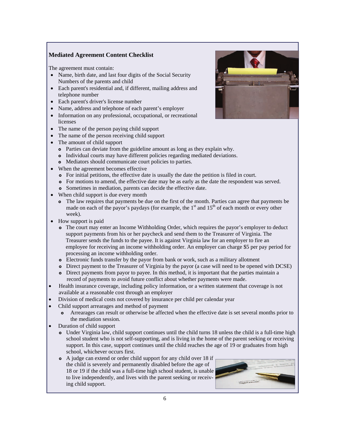## **Mediated Agreement Content Checklist**

The agreement must contain:

- Name, birth date, and last four digits of the Social Security Numbers of the parents and child
- Each parent's residential and, if different, mailing address and telephone number
- Each parent's driver's license number
- Name, address and telephone of each parent's employer
- Information on any professional, occupational, or recreational licenses
- The name of the person paying child support
- The name of the person receiving child support
- The amount of child support
	- Parties can deviate from the guideline amount as long as they explain why.
	- Individual courts may have different policies regarding mediated deviations.
	- Mediators should communicate court policies to parties.
- When the agreement becomes effective
	- For initial petitions, the effective date is usually the date the petition is filed in court.
	- For motions to amend, the effective date may be as early as the date the respondent was served.
	- Sometimes in mediation, parents can decide the effective date.
- When child support is due every month
	- The law requires that payments be due on the first of the month. Parties can agree that payments be made on each of the payor's paydays (for example, the  $1<sup>st</sup>$  and  $15<sup>th</sup>$  of each month or every other week).
- How support is paid
	- The court may enter an Income Withholding Order, which requires the payor's employer to deduct support payments from his or her paycheck and send them to the Treasurer of Virginia. The Treasurer sends the funds to the payee. It is against Virginia law for an employer to fire an employee for receiving an income withholding order. An employer can charge \$5 per pay period for processing an income withholding order.
	- Electronic funds transfer by the payor from bank or work, such as a military allotment
	- Direct payment to the Treasurer of Virginia by the payor (a case will need to be opened with DCSE)
	- Direct payments from payor to payee. In this method, it is important that the parties maintain a record of payments to avoid future conflict about whether payments were made.
- Health insurance coverage, including policy information, or a written statement that coverage is not available at a reasonable cost through an employer
- Division of medical costs not covered by insurance per child per calendar year
- Child support arrearages and method of payment
	- Arrearages can result or otherwise be affected when the effective date is set several months prior to the mediation session.
- Duration of child support
	- Under Virginia law, child support continues until the child turns 18 unless the child is a full-time high school student who is not self-supporting, and is living in the home of the parent seeking or receiving support. In this case, support continues until the child reaches the age of 19 or graduates from high school, whichever occurs first.
	- A judge can extend or order child support for any child over 18 if the child is severely and permanently disabled before the age of 18 or 19 if the child was a full-time high school student, is unable to live independently, and lives with the parent seeking or receiving child support.